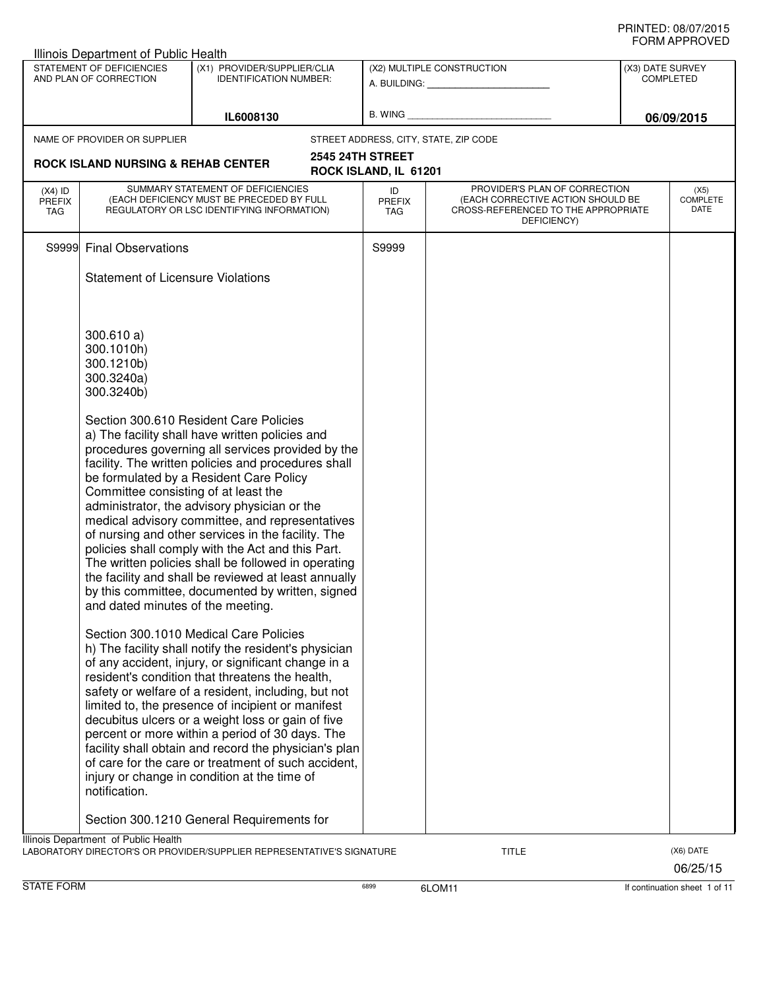| NAME OF PROVIDER OR SUPPLIER<br>S9999 Final Observations<br>300.610 a)<br>300.1010h)<br>300.1210b)<br>300.3240a)<br>300.3240b) | IL6008130<br><b>ROCK ISLAND NURSING &amp; REHAB CENTER</b><br>SUMMARY STATEMENT OF DEFICIENCIES<br>(EACH DEFICIENCY MUST BE PRECEDED BY FULL<br>REGULATORY OR LSC IDENTIFYING INFORMATION)<br><b>Statement of Licensure Violations</b><br>Section 300.610 Resident Care Policies<br>a) The facility shall have written policies and<br>procedures governing all services provided by the<br>facility. The written policies and procedures shall<br>be formulated by a Resident Care Policy<br>Committee consisting of at least the<br>administrator, the advisory physician or the<br>medical advisory committee, and representatives | <b>2545 24TH STREET</b><br>ROCK ISLAND, IL 61201<br>ID<br><b>PREFIX</b><br>TAG<br>S9999                                                                                                                                                                      | STREET ADDRESS, CITY, STATE, ZIP CODE<br>PROVIDER'S PLAN OF CORRECTION<br>(EACH CORRECTIVE ACTION SHOULD BE<br>CROSS-REFERENCED TO THE APPROPRIATE<br>DEFICIENCY)                                                          | 06/09/2015<br>(X5)<br>COMPLETE<br>DATE |
|--------------------------------------------------------------------------------------------------------------------------------|---------------------------------------------------------------------------------------------------------------------------------------------------------------------------------------------------------------------------------------------------------------------------------------------------------------------------------------------------------------------------------------------------------------------------------------------------------------------------------------------------------------------------------------------------------------------------------------------------------------------------------------|--------------------------------------------------------------------------------------------------------------------------------------------------------------------------------------------------------------------------------------------------------------|----------------------------------------------------------------------------------------------------------------------------------------------------------------------------------------------------------------------------|----------------------------------------|
|                                                                                                                                |                                                                                                                                                                                                                                                                                                                                                                                                                                                                                                                                                                                                                                       |                                                                                                                                                                                                                                                              |                                                                                                                                                                                                                            |                                        |
|                                                                                                                                |                                                                                                                                                                                                                                                                                                                                                                                                                                                                                                                                                                                                                                       |                                                                                                                                                                                                                                                              |                                                                                                                                                                                                                            |                                        |
|                                                                                                                                |                                                                                                                                                                                                                                                                                                                                                                                                                                                                                                                                                                                                                                       |                                                                                                                                                                                                                                                              |                                                                                                                                                                                                                            |                                        |
|                                                                                                                                |                                                                                                                                                                                                                                                                                                                                                                                                                                                                                                                                                                                                                                       |                                                                                                                                                                                                                                                              |                                                                                                                                                                                                                            |                                        |
|                                                                                                                                |                                                                                                                                                                                                                                                                                                                                                                                                                                                                                                                                                                                                                                       |                                                                                                                                                                                                                                                              |                                                                                                                                                                                                                            |                                        |
|                                                                                                                                |                                                                                                                                                                                                                                                                                                                                                                                                                                                                                                                                                                                                                                       |                                                                                                                                                                                                                                                              |                                                                                                                                                                                                                            |                                        |
|                                                                                                                                |                                                                                                                                                                                                                                                                                                                                                                                                                                                                                                                                                                                                                                       |                                                                                                                                                                                                                                                              |                                                                                                                                                                                                                            |                                        |
|                                                                                                                                |                                                                                                                                                                                                                                                                                                                                                                                                                                                                                                                                                                                                                                       |                                                                                                                                                                                                                                                              |                                                                                                                                                                                                                            |                                        |
|                                                                                                                                | of nursing and other services in the facility. The<br>policies shall comply with the Act and this Part.<br>The written policies shall be followed in operating<br>the facility and shall be reviewed at least annually<br>by this committee, documented by written, signed<br>and dated minutes of the meeting.                                                                                                                                                                                                                                                                                                                       |                                                                                                                                                                                                                                                              |                                                                                                                                                                                                                            |                                        |
| notification.                                                                                                                  | Section 300.1010 Medical Care Policies<br>h) The facility shall notify the resident's physician                                                                                                                                                                                                                                                                                                                                                                                                                                                                                                                                       |                                                                                                                                                                                                                                                              |                                                                                                                                                                                                                            |                                        |
|                                                                                                                                |                                                                                                                                                                                                                                                                                                                                                                                                                                                                                                                                                                                                                                       |                                                                                                                                                                                                                                                              |                                                                                                                                                                                                                            |                                        |
|                                                                                                                                |                                                                                                                                                                                                                                                                                                                                                                                                                                                                                                                                                                                                                                       | resident's condition that threatens the health,<br>limited to, the presence of incipient or manifest<br>decubitus ulcers or a weight loss or gain of five<br>percent or more within a period of 30 days. The<br>injury or change in condition at the time of | of any accident, injury, or significant change in a<br>safety or welfare of a resident, including, but not<br>facility shall obtain and record the physician's plan<br>of care for the care or treatment of such accident, |                                        |

STATE FORM **EXAMPLE 1 OF 11** 6899 6LOM11 6899 6LOM11 **6899** 6LOM11 **If continuation sheet 1 of 11**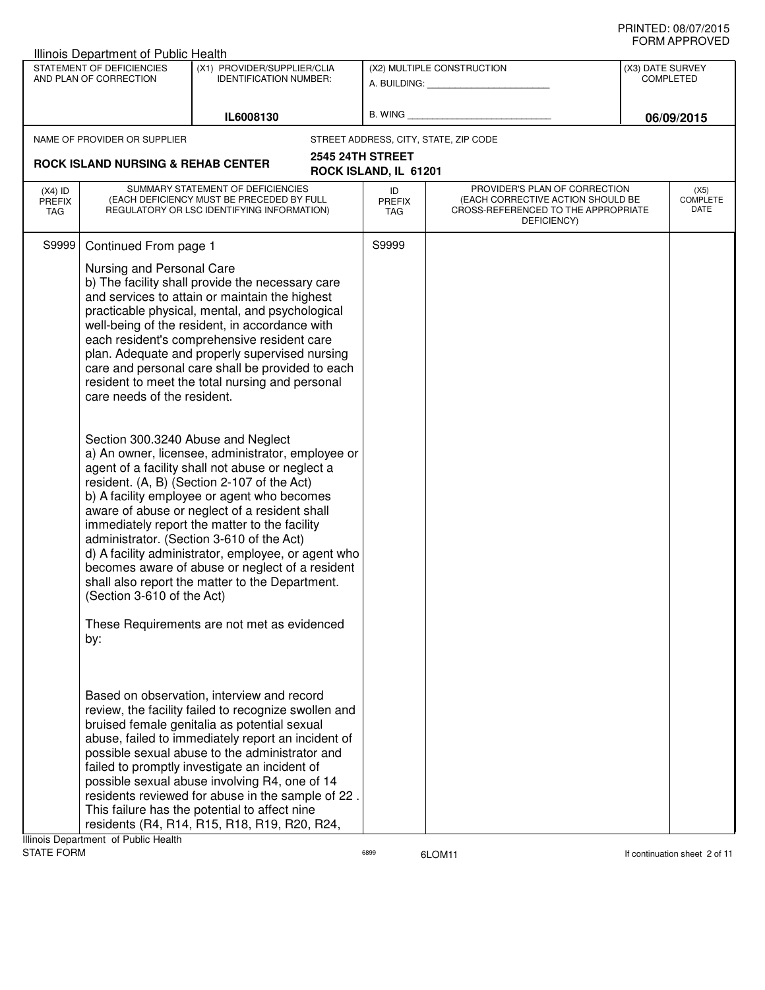|                                          | Illinois Department of Public Health                                                          |                                                                                                                                                                                                                                                                                                                                                                                                                                                                                                                                                                                                                                                                                                                                                                                                                                                                                                                                                                                                                         |                                                  |                                                                                                                          |                               |                                        |
|------------------------------------------|-----------------------------------------------------------------------------------------------|-------------------------------------------------------------------------------------------------------------------------------------------------------------------------------------------------------------------------------------------------------------------------------------------------------------------------------------------------------------------------------------------------------------------------------------------------------------------------------------------------------------------------------------------------------------------------------------------------------------------------------------------------------------------------------------------------------------------------------------------------------------------------------------------------------------------------------------------------------------------------------------------------------------------------------------------------------------------------------------------------------------------------|--------------------------------------------------|--------------------------------------------------------------------------------------------------------------------------|-------------------------------|----------------------------------------|
|                                          | STATEMENT OF DEFICIENCIES<br>AND PLAN OF CORRECTION                                           | (X1) PROVIDER/SUPPLIER/CLIA<br><b>IDENTIFICATION NUMBER:</b>                                                                                                                                                                                                                                                                                                                                                                                                                                                                                                                                                                                                                                                                                                                                                                                                                                                                                                                                                            |                                                  | (X2) MULTIPLE CONSTRUCTION<br>A. BUILDING: A. BUILDING:                                                                  | (X3) DATE SURVEY<br>COMPLETED |                                        |
|                                          |                                                                                               | IL6008130                                                                                                                                                                                                                                                                                                                                                                                                                                                                                                                                                                                                                                                                                                                                                                                                                                                                                                                                                                                                               | B. WING                                          |                                                                                                                          |                               | 06/09/2015                             |
|                                          | NAME OF PROVIDER OR SUPPLIER                                                                  |                                                                                                                                                                                                                                                                                                                                                                                                                                                                                                                                                                                                                                                                                                                                                                                                                                                                                                                                                                                                                         | STREET ADDRESS, CITY, STATE, ZIP CODE            |                                                                                                                          |                               |                                        |
|                                          | <b>ROCK ISLAND NURSING &amp; REHAB CENTER</b>                                                 |                                                                                                                                                                                                                                                                                                                                                                                                                                                                                                                                                                                                                                                                                                                                                                                                                                                                                                                                                                                                                         | <b>2545 24TH STREET</b><br>ROCK ISLAND, IL 61201 |                                                                                                                          |                               |                                        |
| $(X4)$ ID<br><b>PREFIX</b><br><b>TAG</b> |                                                                                               | SUMMARY STATEMENT OF DEFICIENCIES<br>(EACH DEFICIENCY MUST BE PRECEDED BY FULL<br>REGULATORY OR LSC IDENTIFYING INFORMATION)                                                                                                                                                                                                                                                                                                                                                                                                                                                                                                                                                                                                                                                                                                                                                                                                                                                                                            | ID<br><b>PREFIX</b><br><b>TAG</b>                | PROVIDER'S PLAN OF CORRECTION<br>(EACH CORRECTIVE ACTION SHOULD BE<br>CROSS-REFERENCED TO THE APPROPRIATE<br>DEFICIENCY) |                               | (X5)<br><b>COMPLETE</b><br><b>DATE</b> |
| S9999                                    | Continued From page 1                                                                         |                                                                                                                                                                                                                                                                                                                                                                                                                                                                                                                                                                                                                                                                                                                                                                                                                                                                                                                                                                                                                         | S9999                                            |                                                                                                                          |                               |                                        |
|                                          | Nursing and Personal Care<br>care needs of the resident.<br>(Section 3-610 of the Act)<br>by: | b) The facility shall provide the necessary care<br>and services to attain or maintain the highest<br>practicable physical, mental, and psychological<br>well-being of the resident, in accordance with<br>each resident's comprehensive resident care<br>plan. Adequate and properly supervised nursing<br>care and personal care shall be provided to each<br>resident to meet the total nursing and personal<br>Section 300.3240 Abuse and Neglect<br>a) An owner, licensee, administrator, employee or<br>agent of a facility shall not abuse or neglect a<br>resident. (A, B) (Section 2-107 of the Act)<br>b) A facility employee or agent who becomes<br>aware of abuse or neglect of a resident shall<br>immediately report the matter to the facility<br>administrator. (Section 3-610 of the Act)<br>d) A facility administrator, employee, or agent who<br>becomes aware of abuse or neglect of a resident<br>shall also report the matter to the Department.<br>These Requirements are not met as evidenced |                                                  |                                                                                                                          |                               |                                        |
|                                          | Illinois Department of Public Health                                                          | Based on observation, interview and record<br>review, the facility failed to recognize swollen and<br>bruised female genitalia as potential sexual<br>abuse, failed to immediately report an incident of<br>possible sexual abuse to the administrator and<br>failed to promptly investigate an incident of<br>possible sexual abuse involving R4, one of 14<br>residents reviewed for abuse in the sample of 22.<br>This failure has the potential to affect nine<br>residents (R4, R14, R15, R18, R19, R20, R24,                                                                                                                                                                                                                                                                                                                                                                                                                                                                                                      |                                                  |                                                                                                                          |                               |                                        |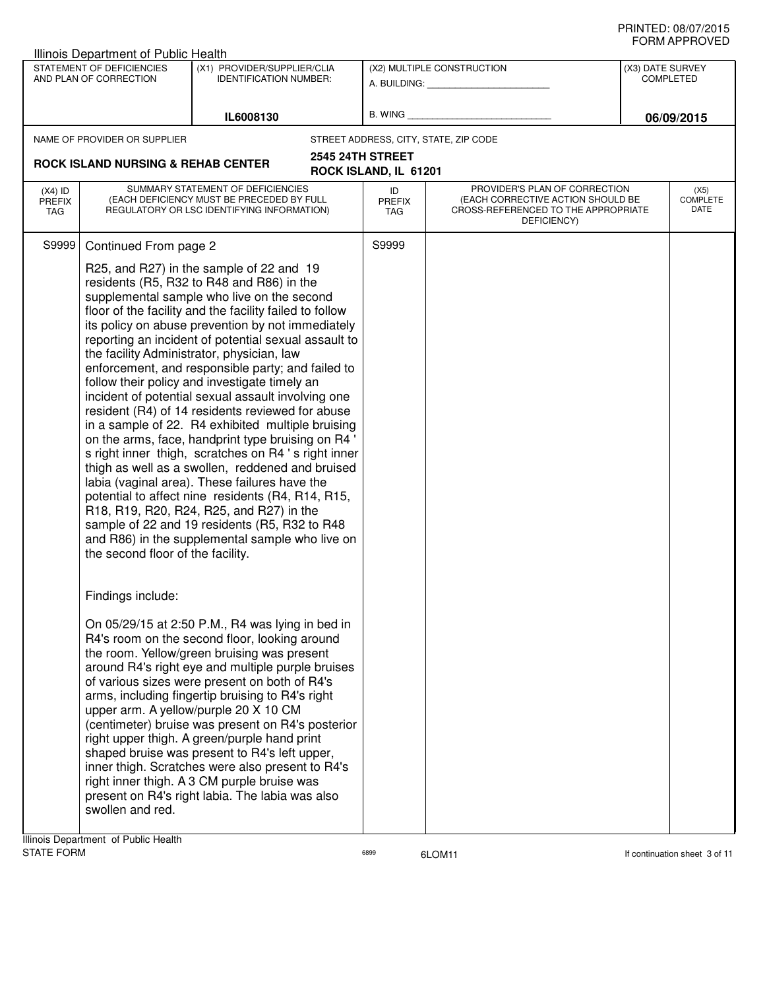| STATEMENT OF DEFICIENCIES<br>(X1) PROVIDER/SUPPLIER/CLIA<br>(X2) MULTIPLE CONSTRUCTION<br>(X3) DATE SURVEY<br>AND PLAN OF CORRECTION<br><b>IDENTIFICATION NUMBER:</b><br><b>COMPLETED</b><br>A. BUILDING: A. BUILDING:<br>B. WING <b>Example 20</b><br>IL6008130<br>06/09/2015<br>STREET ADDRESS, CITY, STATE, ZIP CODE<br>NAME OF PROVIDER OR SUPPLIER                                                                                                                                                                                                                                                                                                                                                                                                                                                                                                                                                                                                                                                                                                                                                                                                                                                                                                                                                                                                                                                                                                                                                                                                                                                                                                                                                                                                                                                |                                 |
|--------------------------------------------------------------------------------------------------------------------------------------------------------------------------------------------------------------------------------------------------------------------------------------------------------------------------------------------------------------------------------------------------------------------------------------------------------------------------------------------------------------------------------------------------------------------------------------------------------------------------------------------------------------------------------------------------------------------------------------------------------------------------------------------------------------------------------------------------------------------------------------------------------------------------------------------------------------------------------------------------------------------------------------------------------------------------------------------------------------------------------------------------------------------------------------------------------------------------------------------------------------------------------------------------------------------------------------------------------------------------------------------------------------------------------------------------------------------------------------------------------------------------------------------------------------------------------------------------------------------------------------------------------------------------------------------------------------------------------------------------------------------------------------------------------|---------------------------------|
|                                                                                                                                                                                                                                                                                                                                                                                                                                                                                                                                                                                                                                                                                                                                                                                                                                                                                                                                                                                                                                                                                                                                                                                                                                                                                                                                                                                                                                                                                                                                                                                                                                                                                                                                                                                                        |                                 |
|                                                                                                                                                                                                                                                                                                                                                                                                                                                                                                                                                                                                                                                                                                                                                                                                                                                                                                                                                                                                                                                                                                                                                                                                                                                                                                                                                                                                                                                                                                                                                                                                                                                                                                                                                                                                        |                                 |
|                                                                                                                                                                                                                                                                                                                                                                                                                                                                                                                                                                                                                                                                                                                                                                                                                                                                                                                                                                                                                                                                                                                                                                                                                                                                                                                                                                                                                                                                                                                                                                                                                                                                                                                                                                                                        |                                 |
| 2545 24TH STREET<br><b>ROCK ISLAND NURSING &amp; REHAB CENTER</b><br>ROCK ISLAND, IL 61201                                                                                                                                                                                                                                                                                                                                                                                                                                                                                                                                                                                                                                                                                                                                                                                                                                                                                                                                                                                                                                                                                                                                                                                                                                                                                                                                                                                                                                                                                                                                                                                                                                                                                                             |                                 |
| SUMMARY STATEMENT OF DEFICIENCIES<br>PROVIDER'S PLAN OF CORRECTION<br>ID<br>$(X4)$ ID<br>(EACH DEFICIENCY MUST BE PRECEDED BY FULL<br>(EACH CORRECTIVE ACTION SHOULD BE<br><b>PREFIX</b><br>PREFIX<br>REGULATORY OR LSC IDENTIFYING INFORMATION)<br>CROSS-REFERENCED TO THE APPROPRIATE<br>TAG<br>TAG<br>DEFICIENCY)                                                                                                                                                                                                                                                                                                                                                                                                                                                                                                                                                                                                                                                                                                                                                                                                                                                                                                                                                                                                                                                                                                                                                                                                                                                                                                                                                                                                                                                                                   | (X5)<br><b>COMPLETE</b><br>DATE |
| S9999<br>S9999<br>Continued From page 2                                                                                                                                                                                                                                                                                                                                                                                                                                                                                                                                                                                                                                                                                                                                                                                                                                                                                                                                                                                                                                                                                                                                                                                                                                                                                                                                                                                                                                                                                                                                                                                                                                                                                                                                                                |                                 |
| R25, and R27) in the sample of 22 and 19<br>residents (R5, R32 to R48 and R86) in the<br>supplemental sample who live on the second<br>floor of the facility and the facility failed to follow<br>its policy on abuse prevention by not immediately<br>reporting an incident of potential sexual assault to<br>the facility Administrator, physician, law<br>enforcement, and responsible party; and failed to<br>follow their policy and investigate timely an<br>incident of potential sexual assault involving one<br>resident (R4) of 14 residents reviewed for abuse<br>in a sample of 22. R4 exhibited multiple bruising<br>on the arms, face, handprint type bruising on R4 '<br>s right inner thigh, scratches on R4 's right inner<br>thigh as well as a swollen, reddened and bruised<br>labia (vaginal area). These failures have the<br>potential to affect nine residents (R4, R14, R15,<br>R18, R19, R20, R24, R25, and R27) in the<br>sample of 22 and 19 residents (R5, R32 to R48<br>and R86) in the supplemental sample who live on<br>the second floor of the facility.<br>Findings include:<br>On 05/29/15 at 2:50 P.M., R4 was lying in bed in<br>R4's room on the second floor, looking around<br>the room. Yellow/green bruising was present<br>around R4's right eye and multiple purple bruises<br>of various sizes were present on both of R4's<br>arms, including fingertip bruising to R4's right<br>upper arm. A yellow/purple 20 X 10 CM<br>(centimeter) bruise was present on R4's posterior<br>right upper thigh. A green/purple hand print<br>shaped bruise was present to R4's left upper,<br>inner thigh. Scratches were also present to R4's<br>right inner thigh. A 3 CM purple bruise was<br>present on R4's right labia. The labia was also<br>swollen and red. |                                 |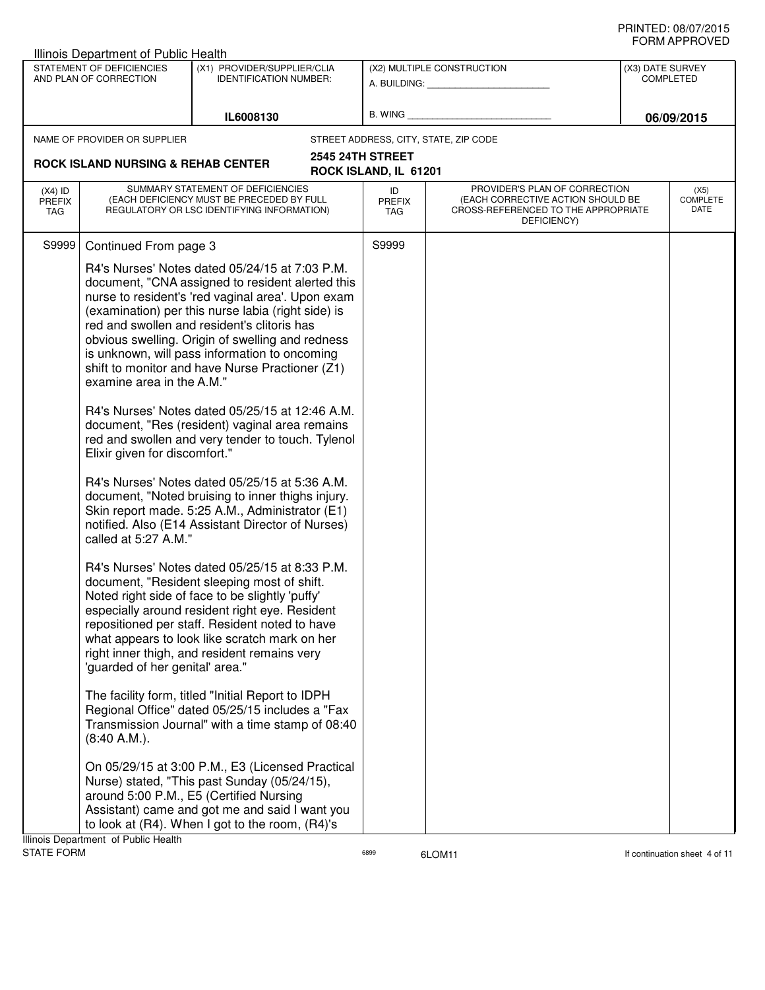| STATEMENT OF DEFICIENCIES<br>(X1) PROVIDER/SUPPLIER/CLIA<br>(X2) MULTIPLE CONSTRUCTION<br>AND PLAN OF CORRECTION<br><b>IDENTIFICATION NUMBER:</b><br><b>COMPLETED</b><br>A. BUILDING: A. BUILDING:<br>B. WING<br>IL6008130<br>NAME OF PROVIDER OR SUPPLIER<br>STREET ADDRESS, CITY, STATE, ZIP CODE<br><b>2545 24TH STREET</b><br><b>ROCK ISLAND NURSING &amp; REHAB CENTER</b><br>ROCK ISLAND, IL 61201<br>SUMMARY STATEMENT OF DEFICIENCIES<br>PROVIDER'S PLAN OF CORRECTION<br>$(X4)$ ID<br>ID<br>(EACH DEFICIENCY MUST BE PRECEDED BY FULL<br>(EACH CORRECTIVE ACTION SHOULD BE<br><b>PREFIX</b><br><b>PREFIX</b><br>REGULATORY OR LSC IDENTIFYING INFORMATION)<br>CROSS-REFERENCED TO THE APPROPRIATE<br><b>TAG</b><br>TAG<br>DEFICIENCY)<br>S9999<br>S9999<br>Continued From page 3<br>R4's Nurses' Notes dated 05/24/15 at 7:03 P.M.<br>document, "CNA assigned to resident alerted this<br>nurse to resident's 'red vaginal area'. Upon exam<br>(examination) per this nurse labia (right side) is<br>red and swollen and resident's clitoris has<br>obvious swelling. Origin of swelling and redness<br>is unknown, will pass information to oncoming<br>shift to monitor and have Nurse Practioner (Z1)<br>examine area in the A.M."<br>R4's Nurses' Notes dated 05/25/15 at 12:46 A.M.<br>document, "Res (resident) vaginal area remains<br>red and swollen and very tender to touch. Tylenol<br>Elixir given for discomfort."<br>R4's Nurses' Notes dated 05/25/15 at 5:36 A.M.<br>document, "Noted bruising to inner thighs injury.<br>Skin report made. 5:25 A.M., Administrator (E1)<br>notified. Also (E14 Assistant Director of Nurses)<br>called at 5:27 A.M."<br>R4's Nurses' Notes dated 05/25/15 at 8:33 P.M.<br>document, "Resident sleeping most of shift.<br>Noted right side of face to be slightly 'puffy'<br>especially around resident right eye. Resident<br>repositioned per staff. Resident noted to have<br>what appears to look like scratch mark on her<br>right inner thigh, and resident remains very<br>'guarded of her genital' area."<br>The facility form, titled "Initial Report to IDPH<br>Regional Office" dated 05/25/15 includes a "Fax<br>Transmission Journal" with a time stamp of 08:40<br>$(8:40 A.M.)$ .<br>On 05/29/15 at 3:00 P.M., E3 (Licensed Practical<br>Nurse) stated, "This past Sunday (05/24/15),<br>around 5:00 P.M., E5 (Certified Nursing<br>Assistant) came and got me and said I want you<br>to look at (R4). When I got to the room, (R4)'s | Illinois Department of Public Health |  |                  |                                 |
|-----------------------------------------------------------------------------------------------------------------------------------------------------------------------------------------------------------------------------------------------------------------------------------------------------------------------------------------------------------------------------------------------------------------------------------------------------------------------------------------------------------------------------------------------------------------------------------------------------------------------------------------------------------------------------------------------------------------------------------------------------------------------------------------------------------------------------------------------------------------------------------------------------------------------------------------------------------------------------------------------------------------------------------------------------------------------------------------------------------------------------------------------------------------------------------------------------------------------------------------------------------------------------------------------------------------------------------------------------------------------------------------------------------------------------------------------------------------------------------------------------------------------------------------------------------------------------------------------------------------------------------------------------------------------------------------------------------------------------------------------------------------------------------------------------------------------------------------------------------------------------------------------------------------------------------------------------------------------------------------------------------------------------------------------------------------------------------------------------------------------------------------------------------------------------------------------------------------------------------------------------------------------------------------------------------------------------------------------------------------------------------------------------------------------------------------------------------------------------------------------------------------|--------------------------------------|--|------------------|---------------------------------|
|                                                                                                                                                                                                                                                                                                                                                                                                                                                                                                                                                                                                                                                                                                                                                                                                                                                                                                                                                                                                                                                                                                                                                                                                                                                                                                                                                                                                                                                                                                                                                                                                                                                                                                                                                                                                                                                                                                                                                                                                                                                                                                                                                                                                                                                                                                                                                                                                                                                                                                                 |                                      |  | (X3) DATE SURVEY |                                 |
|                                                                                                                                                                                                                                                                                                                                                                                                                                                                                                                                                                                                                                                                                                                                                                                                                                                                                                                                                                                                                                                                                                                                                                                                                                                                                                                                                                                                                                                                                                                                                                                                                                                                                                                                                                                                                                                                                                                                                                                                                                                                                                                                                                                                                                                                                                                                                                                                                                                                                                                 |                                      |  |                  |                                 |
|                                                                                                                                                                                                                                                                                                                                                                                                                                                                                                                                                                                                                                                                                                                                                                                                                                                                                                                                                                                                                                                                                                                                                                                                                                                                                                                                                                                                                                                                                                                                                                                                                                                                                                                                                                                                                                                                                                                                                                                                                                                                                                                                                                                                                                                                                                                                                                                                                                                                                                                 |                                      |  |                  |                                 |
|                                                                                                                                                                                                                                                                                                                                                                                                                                                                                                                                                                                                                                                                                                                                                                                                                                                                                                                                                                                                                                                                                                                                                                                                                                                                                                                                                                                                                                                                                                                                                                                                                                                                                                                                                                                                                                                                                                                                                                                                                                                                                                                                                                                                                                                                                                                                                                                                                                                                                                                 |                                      |  |                  | 06/09/2015                      |
|                                                                                                                                                                                                                                                                                                                                                                                                                                                                                                                                                                                                                                                                                                                                                                                                                                                                                                                                                                                                                                                                                                                                                                                                                                                                                                                                                                                                                                                                                                                                                                                                                                                                                                                                                                                                                                                                                                                                                                                                                                                                                                                                                                                                                                                                                                                                                                                                                                                                                                                 |                                      |  |                  |                                 |
|                                                                                                                                                                                                                                                                                                                                                                                                                                                                                                                                                                                                                                                                                                                                                                                                                                                                                                                                                                                                                                                                                                                                                                                                                                                                                                                                                                                                                                                                                                                                                                                                                                                                                                                                                                                                                                                                                                                                                                                                                                                                                                                                                                                                                                                                                                                                                                                                                                                                                                                 |                                      |  |                  |                                 |
|                                                                                                                                                                                                                                                                                                                                                                                                                                                                                                                                                                                                                                                                                                                                                                                                                                                                                                                                                                                                                                                                                                                                                                                                                                                                                                                                                                                                                                                                                                                                                                                                                                                                                                                                                                                                                                                                                                                                                                                                                                                                                                                                                                                                                                                                                                                                                                                                                                                                                                                 |                                      |  |                  | (X5)<br><b>COMPLETE</b><br>DATE |
|                                                                                                                                                                                                                                                                                                                                                                                                                                                                                                                                                                                                                                                                                                                                                                                                                                                                                                                                                                                                                                                                                                                                                                                                                                                                                                                                                                                                                                                                                                                                                                                                                                                                                                                                                                                                                                                                                                                                                                                                                                                                                                                                                                                                                                                                                                                                                                                                                                                                                                                 |                                      |  |                  |                                 |
|                                                                                                                                                                                                                                                                                                                                                                                                                                                                                                                                                                                                                                                                                                                                                                                                                                                                                                                                                                                                                                                                                                                                                                                                                                                                                                                                                                                                                                                                                                                                                                                                                                                                                                                                                                                                                                                                                                                                                                                                                                                                                                                                                                                                                                                                                                                                                                                                                                                                                                                 |                                      |  |                  |                                 |
| Illinois Department of Public Health<br><b>STATE FORM</b><br>6899<br>6LOM11                                                                                                                                                                                                                                                                                                                                                                                                                                                                                                                                                                                                                                                                                                                                                                                                                                                                                                                                                                                                                                                                                                                                                                                                                                                                                                                                                                                                                                                                                                                                                                                                                                                                                                                                                                                                                                                                                                                                                                                                                                                                                                                                                                                                                                                                                                                                                                                                                                     |                                      |  |                  | If continuation sheet 4 of 11   |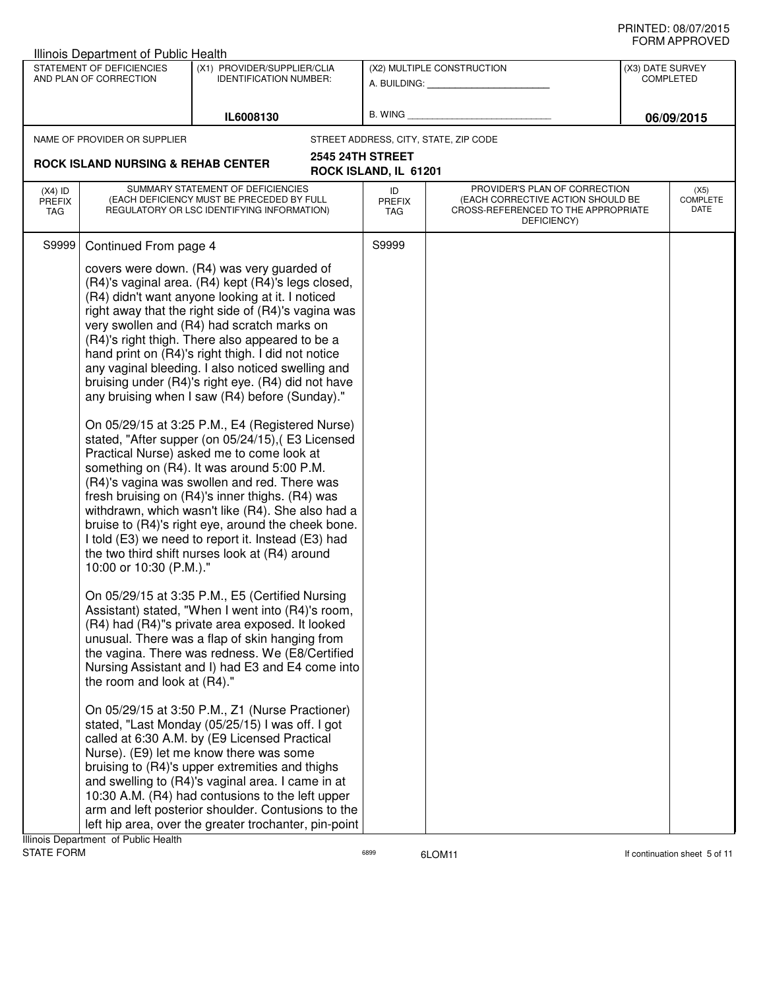| STATEMENT OF DEFICIENCIES<br>(X1) PROVIDER/SUPPLIER/CLIA<br>(X2) MULTIPLE CONSTRUCTION<br>(X3) DATE SURVEY<br><b>COMPLETED</b><br>AND PLAN OF CORRECTION<br><b>IDENTIFICATION NUMBER:</b><br>A. BUILDING: A. BUILDING:<br><b>B. WING</b><br>IL6008130<br>06/09/2015<br>NAME OF PROVIDER OR SUPPLIER<br>STREET ADDRESS, CITY, STATE, ZIP CODE<br>2545 24TH STREET<br><b>ROCK ISLAND NURSING &amp; REHAB CENTER</b><br>ROCK ISLAND, IL 61201<br>SUMMARY STATEMENT OF DEFICIENCIES<br>PROVIDER'S PLAN OF CORRECTION<br>$(X4)$ ID<br>ID<br>(X5)<br>(EACH DEFICIENCY MUST BE PRECEDED BY FULL<br><b>COMPLETE</b><br>(EACH CORRECTIVE ACTION SHOULD BE<br><b>PREFIX</b><br><b>PREFIX</b><br>DATE<br>REGULATORY OR LSC IDENTIFYING INFORMATION)<br>CROSS-REFERENCED TO THE APPROPRIATE<br>TAG<br><b>TAG</b><br>DEFICIENCY)<br>S9999<br>S9999<br>Continued From page 4<br>covers were down. (R4) was very guarded of<br>(R4)'s vaginal area. (R4) kept (R4)'s legs closed,<br>(R4) didn't want anyone looking at it. I noticed<br>right away that the right side of (R4)'s vagina was<br>very swollen and (R4) had scratch marks on<br>(R4)'s right thigh. There also appeared to be a<br>hand print on (R4)'s right thigh. I did not notice<br>any vaginal bleeding. I also noticed swelling and<br>bruising under (R4)'s right eye. (R4) did not have<br>any bruising when I saw (R4) before (Sunday)."<br>On 05/29/15 at 3:25 P.M., E4 (Registered Nurse)<br>stated, "After supper (on 05/24/15), (E3 Licensed<br>Practical Nurse) asked me to come look at<br>something on (R4). It was around 5:00 P.M.<br>(R4)'s vagina was swollen and red. There was<br>fresh bruising on (R4)'s inner thighs. (R4) was<br>withdrawn, which wasn't like (R4). She also had a<br>bruise to (R4)'s right eye, around the cheek bone.<br>I told (E3) we need to report it. Instead (E3) had<br>the two third shift nurses look at (R4) around<br>10:00 or 10:30 (P.M.)."<br>On 05/29/15 at 3:35 P.M., E5 (Certified Nursing<br>Assistant) stated, "When I went into (R4)'s room,<br>(R4) had (R4)"s private area exposed. It looked<br>unusual. There was a flap of skin hanging from<br>the vagina. There was redness. We (E8/Certified<br>Nursing Assistant and I) had E3 and E4 come into<br>the room and look at (R4)."<br>On 05/29/15 at 3:50 P.M., Z1 (Nurse Practioner)<br>stated, "Last Monday (05/25/15) I was off. I got<br>called at 6:30 A.M. by (E9 Licensed Practical<br>Nurse). (E9) let me know there was some<br>bruising to (R4)'s upper extremities and thighs<br>and swelling to (R4)'s vaginal area. I came in at<br>10:30 A.M. (R4) had contusions to the left upper<br>arm and left posterior shoulder. Contusions to the | Illinois Department of Public Health |  |  |  |
|-------------------------------------------------------------------------------------------------------------------------------------------------------------------------------------------------------------------------------------------------------------------------------------------------------------------------------------------------------------------------------------------------------------------------------------------------------------------------------------------------------------------------------------------------------------------------------------------------------------------------------------------------------------------------------------------------------------------------------------------------------------------------------------------------------------------------------------------------------------------------------------------------------------------------------------------------------------------------------------------------------------------------------------------------------------------------------------------------------------------------------------------------------------------------------------------------------------------------------------------------------------------------------------------------------------------------------------------------------------------------------------------------------------------------------------------------------------------------------------------------------------------------------------------------------------------------------------------------------------------------------------------------------------------------------------------------------------------------------------------------------------------------------------------------------------------------------------------------------------------------------------------------------------------------------------------------------------------------------------------------------------------------------------------------------------------------------------------------------------------------------------------------------------------------------------------------------------------------------------------------------------------------------------------------------------------------------------------------------------------------------------------------------------------------------------------------------------------------------------------------------------------------------------------------------------------------------------------------------------------------------------------------------------------------------------------------------------------------------|--------------------------------------|--|--|--|
|                                                                                                                                                                                                                                                                                                                                                                                                                                                                                                                                                                                                                                                                                                                                                                                                                                                                                                                                                                                                                                                                                                                                                                                                                                                                                                                                                                                                                                                                                                                                                                                                                                                                                                                                                                                                                                                                                                                                                                                                                                                                                                                                                                                                                                                                                                                                                                                                                                                                                                                                                                                                                                                                                                                               |                                      |  |  |  |
|                                                                                                                                                                                                                                                                                                                                                                                                                                                                                                                                                                                                                                                                                                                                                                                                                                                                                                                                                                                                                                                                                                                                                                                                                                                                                                                                                                                                                                                                                                                                                                                                                                                                                                                                                                                                                                                                                                                                                                                                                                                                                                                                                                                                                                                                                                                                                                                                                                                                                                                                                                                                                                                                                                                               |                                      |  |  |  |
|                                                                                                                                                                                                                                                                                                                                                                                                                                                                                                                                                                                                                                                                                                                                                                                                                                                                                                                                                                                                                                                                                                                                                                                                                                                                                                                                                                                                                                                                                                                                                                                                                                                                                                                                                                                                                                                                                                                                                                                                                                                                                                                                                                                                                                                                                                                                                                                                                                                                                                                                                                                                                                                                                                                               |                                      |  |  |  |
|                                                                                                                                                                                                                                                                                                                                                                                                                                                                                                                                                                                                                                                                                                                                                                                                                                                                                                                                                                                                                                                                                                                                                                                                                                                                                                                                                                                                                                                                                                                                                                                                                                                                                                                                                                                                                                                                                                                                                                                                                                                                                                                                                                                                                                                                                                                                                                                                                                                                                                                                                                                                                                                                                                                               |                                      |  |  |  |
|                                                                                                                                                                                                                                                                                                                                                                                                                                                                                                                                                                                                                                                                                                                                                                                                                                                                                                                                                                                                                                                                                                                                                                                                                                                                                                                                                                                                                                                                                                                                                                                                                                                                                                                                                                                                                                                                                                                                                                                                                                                                                                                                                                                                                                                                                                                                                                                                                                                                                                                                                                                                                                                                                                                               |                                      |  |  |  |
|                                                                                                                                                                                                                                                                                                                                                                                                                                                                                                                                                                                                                                                                                                                                                                                                                                                                                                                                                                                                                                                                                                                                                                                                                                                                                                                                                                                                                                                                                                                                                                                                                                                                                                                                                                                                                                                                                                                                                                                                                                                                                                                                                                                                                                                                                                                                                                                                                                                                                                                                                                                                                                                                                                                               |                                      |  |  |  |
| left hip area, over the greater trochanter, pin-point                                                                                                                                                                                                                                                                                                                                                                                                                                                                                                                                                                                                                                                                                                                                                                                                                                                                                                                                                                                                                                                                                                                                                                                                                                                                                                                                                                                                                                                                                                                                                                                                                                                                                                                                                                                                                                                                                                                                                                                                                                                                                                                                                                                                                                                                                                                                                                                                                                                                                                                                                                                                                                                                         |                                      |  |  |  |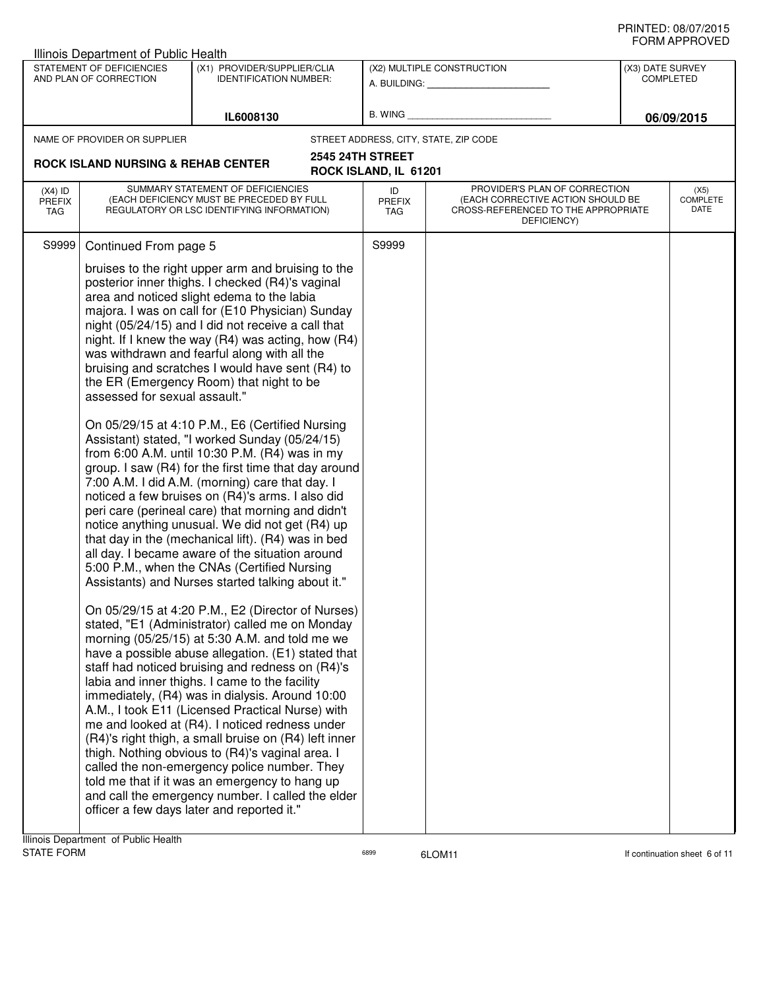|                                   | Illinois Department of Public Health                |                                                                                                                                                                                                                                                                                                                                                                                                                                                                                                                                                                                                                                                                                                                                                                                                                                                                                                                                                                                                                                                                                                                                                                                                                                                                                                                                                                                                                                                                                                                                                                                                                                                                                                                                                                                                                                                                                                                      |                            |                                                                                                                          |                  |                                 |
|-----------------------------------|-----------------------------------------------------|----------------------------------------------------------------------------------------------------------------------------------------------------------------------------------------------------------------------------------------------------------------------------------------------------------------------------------------------------------------------------------------------------------------------------------------------------------------------------------------------------------------------------------------------------------------------------------------------------------------------------------------------------------------------------------------------------------------------------------------------------------------------------------------------------------------------------------------------------------------------------------------------------------------------------------------------------------------------------------------------------------------------------------------------------------------------------------------------------------------------------------------------------------------------------------------------------------------------------------------------------------------------------------------------------------------------------------------------------------------------------------------------------------------------------------------------------------------------------------------------------------------------------------------------------------------------------------------------------------------------------------------------------------------------------------------------------------------------------------------------------------------------------------------------------------------------------------------------------------------------------------------------------------------------|----------------------------|--------------------------------------------------------------------------------------------------------------------------|------------------|---------------------------------|
|                                   | STATEMENT OF DEFICIENCIES<br>AND PLAN OF CORRECTION | (X1) PROVIDER/SUPPLIER/CLIA<br><b>IDENTIFICATION NUMBER:</b>                                                                                                                                                                                                                                                                                                                                                                                                                                                                                                                                                                                                                                                                                                                                                                                                                                                                                                                                                                                                                                                                                                                                                                                                                                                                                                                                                                                                                                                                                                                                                                                                                                                                                                                                                                                                                                                         |                            | (X2) MULTIPLE CONSTRUCTION                                                                                               | (X3) DATE SURVEY | <b>COMPLETED</b>                |
|                                   |                                                     |                                                                                                                                                                                                                                                                                                                                                                                                                                                                                                                                                                                                                                                                                                                                                                                                                                                                                                                                                                                                                                                                                                                                                                                                                                                                                                                                                                                                                                                                                                                                                                                                                                                                                                                                                                                                                                                                                                                      |                            | A. BUILDING: A. BUILDING:                                                                                                |                  |                                 |
|                                   |                                                     | IL6008130                                                                                                                                                                                                                                                                                                                                                                                                                                                                                                                                                                                                                                                                                                                                                                                                                                                                                                                                                                                                                                                                                                                                                                                                                                                                                                                                                                                                                                                                                                                                                                                                                                                                                                                                                                                                                                                                                                            | B. WING                    |                                                                                                                          |                  | 06/09/2015                      |
|                                   | NAME OF PROVIDER OR SUPPLIER                        |                                                                                                                                                                                                                                                                                                                                                                                                                                                                                                                                                                                                                                                                                                                                                                                                                                                                                                                                                                                                                                                                                                                                                                                                                                                                                                                                                                                                                                                                                                                                                                                                                                                                                                                                                                                                                                                                                                                      |                            | STREET ADDRESS, CITY, STATE, ZIP CODE                                                                                    |                  |                                 |
|                                   | <b>ROCK ISLAND NURSING &amp; REHAB CENTER</b>       | <b>2545 24TH STREET</b>                                                                                                                                                                                                                                                                                                                                                                                                                                                                                                                                                                                                                                                                                                                                                                                                                                                                                                                                                                                                                                                                                                                                                                                                                                                                                                                                                                                                                                                                                                                                                                                                                                                                                                                                                                                                                                                                                              | ROCK ISLAND, IL 61201      |                                                                                                                          |                  |                                 |
| $(X4)$ ID<br>PREFIX<br><b>TAG</b> |                                                     | SUMMARY STATEMENT OF DEFICIENCIES<br>(EACH DEFICIENCY MUST BE PRECEDED BY FULL<br>REGULATORY OR LSC IDENTIFYING INFORMATION)                                                                                                                                                                                                                                                                                                                                                                                                                                                                                                                                                                                                                                                                                                                                                                                                                                                                                                                                                                                                                                                                                                                                                                                                                                                                                                                                                                                                                                                                                                                                                                                                                                                                                                                                                                                         | ID<br>PREFIX<br><b>TAG</b> | PROVIDER'S PLAN OF CORRECTION<br>(EACH CORRECTIVE ACTION SHOULD BE<br>CROSS-REFERENCED TO THE APPROPRIATE<br>DEFICIENCY) |                  | (X5)<br><b>COMPLETE</b><br>DATE |
| S9999                             | Continued From page 5                               |                                                                                                                                                                                                                                                                                                                                                                                                                                                                                                                                                                                                                                                                                                                                                                                                                                                                                                                                                                                                                                                                                                                                                                                                                                                                                                                                                                                                                                                                                                                                                                                                                                                                                                                                                                                                                                                                                                                      | S9999                      |                                                                                                                          |                  |                                 |
|                                   | assessed for sexual assault."                       | bruises to the right upper arm and bruising to the<br>posterior inner thighs. I checked (R4)'s vaginal<br>area and noticed slight edema to the labia<br>majora. I was on call for (E10 Physician) Sunday<br>night (05/24/15) and I did not receive a call that<br>night. If I knew the way $(R4)$ was acting, how $(R4)$<br>was withdrawn and fearful along with all the<br>bruising and scratches I would have sent (R4) to<br>the ER (Emergency Room) that night to be<br>On 05/29/15 at 4:10 P.M., E6 (Certified Nursing<br>Assistant) stated, "I worked Sunday (05/24/15)<br>from 6:00 A.M. until 10:30 P.M. (R4) was in my<br>group. I saw (R4) for the first time that day around<br>7:00 A.M. I did A.M. (morning) care that day. I<br>noticed a few bruises on (R4)'s arms. I also did<br>peri care (perineal care) that morning and didn't<br>notice anything unusual. We did not get (R4) up<br>that day in the (mechanical lift). (R4) was in bed<br>all day. I became aware of the situation around<br>5:00 P.M., when the CNAs (Certified Nursing<br>Assistants) and Nurses started talking about it."<br>On 05/29/15 at 4:20 P.M., E2 (Director of Nurses)<br>stated, "E1 (Administrator) called me on Monday<br>morning (05/25/15) at 5:30 A.M. and told me we<br>have a possible abuse allegation. (E1) stated that<br>staff had noticed bruising and redness on (R4)'s<br>labia and inner thighs. I came to the facility<br>immediately, (R4) was in dialysis. Around 10:00<br>A.M., I took E11 (Licensed Practical Nurse) with<br>me and looked at (R4). I noticed redness under<br>(R4)'s right thigh, a small bruise on (R4) left inner<br>thigh. Nothing obvious to (R4)'s vaginal area. I<br>called the non-emergency police number. They<br>told me that if it was an emergency to hang up<br>and call the emergency number. I called the elder<br>officer a few days later and reported it." |                            |                                                                                                                          |                  |                                 |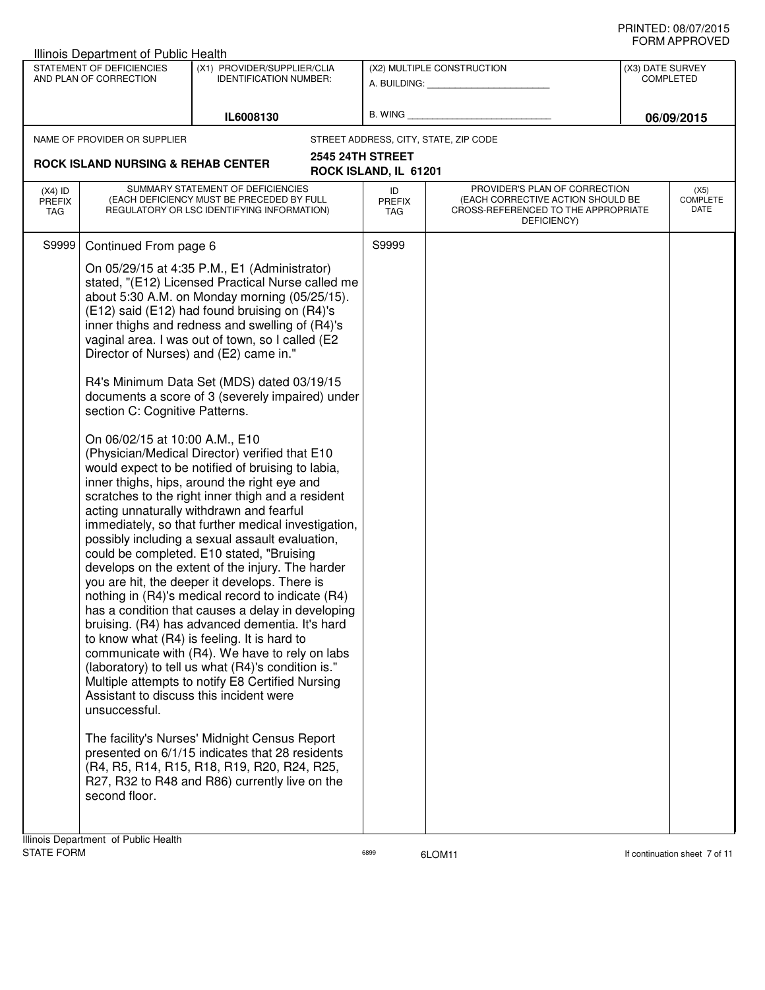|                                   | Illinois Department of Public Health                                                                                                          |                                                                                                                                                                                                                                                                                                                                                                                                                                                                                                                                                                                                                                                                                                                                                                                                                                                                                                                                                                                                                                                                                                                                                                                                                                                                                                                                                                                                                                                                                                                                                         |                                                  |                                                                                                                          |                                      | ש∟יטוו ו ותושוט                 |
|-----------------------------------|-----------------------------------------------------------------------------------------------------------------------------------------------|---------------------------------------------------------------------------------------------------------------------------------------------------------------------------------------------------------------------------------------------------------------------------------------------------------------------------------------------------------------------------------------------------------------------------------------------------------------------------------------------------------------------------------------------------------------------------------------------------------------------------------------------------------------------------------------------------------------------------------------------------------------------------------------------------------------------------------------------------------------------------------------------------------------------------------------------------------------------------------------------------------------------------------------------------------------------------------------------------------------------------------------------------------------------------------------------------------------------------------------------------------------------------------------------------------------------------------------------------------------------------------------------------------------------------------------------------------------------------------------------------------------------------------------------------------|--------------------------------------------------|--------------------------------------------------------------------------------------------------------------------------|--------------------------------------|---------------------------------|
|                                   | STATEMENT OF DEFICIENCIES<br>AND PLAN OF CORRECTION                                                                                           | (X1) PROVIDER/SUPPLIER/CLIA<br><b>IDENTIFICATION NUMBER:</b>                                                                                                                                                                                                                                                                                                                                                                                                                                                                                                                                                                                                                                                                                                                                                                                                                                                                                                                                                                                                                                                                                                                                                                                                                                                                                                                                                                                                                                                                                            |                                                  | (X2) MULTIPLE CONSTRUCTION<br>A. BUILDING: A. BUILDING:                                                                  | (X3) DATE SURVEY<br><b>COMPLETED</b> |                                 |
|                                   |                                                                                                                                               | IL6008130                                                                                                                                                                                                                                                                                                                                                                                                                                                                                                                                                                                                                                                                                                                                                                                                                                                                                                                                                                                                                                                                                                                                                                                                                                                                                                                                                                                                                                                                                                                                               |                                                  | B. WING <b>Example 2008</b>                                                                                              |                                      | 06/09/2015                      |
|                                   | NAME OF PROVIDER OR SUPPLIER                                                                                                                  |                                                                                                                                                                                                                                                                                                                                                                                                                                                                                                                                                                                                                                                                                                                                                                                                                                                                                                                                                                                                                                                                                                                                                                                                                                                                                                                                                                                                                                                                                                                                                         |                                                  | STREET ADDRESS, CITY, STATE, ZIP CODE                                                                                    |                                      |                                 |
|                                   | <b>ROCK ISLAND NURSING &amp; REHAB CENTER</b>                                                                                                 |                                                                                                                                                                                                                                                                                                                                                                                                                                                                                                                                                                                                                                                                                                                                                                                                                                                                                                                                                                                                                                                                                                                                                                                                                                                                                                                                                                                                                                                                                                                                                         | <b>2545 24TH STREET</b><br>ROCK ISLAND, IL 61201 |                                                                                                                          |                                      |                                 |
| $(X4)$ ID<br><b>PREFIX</b><br>TAG |                                                                                                                                               | SUMMARY STATEMENT OF DEFICIENCIES<br>(EACH DEFICIENCY MUST BE PRECEDED BY FULL<br>REGULATORY OR LSC IDENTIFYING INFORMATION)                                                                                                                                                                                                                                                                                                                                                                                                                                                                                                                                                                                                                                                                                                                                                                                                                                                                                                                                                                                                                                                                                                                                                                                                                                                                                                                                                                                                                            | ID<br><b>PREFIX</b><br>TAG                       | PROVIDER'S PLAN OF CORRECTION<br>(EACH CORRECTIVE ACTION SHOULD BE<br>CROSS-REFERENCED TO THE APPROPRIATE<br>DEFICIENCY) |                                      | (X5)<br><b>COMPLETE</b><br>DATE |
| S9999                             | Continued From page 6                                                                                                                         |                                                                                                                                                                                                                                                                                                                                                                                                                                                                                                                                                                                                                                                                                                                                                                                                                                                                                                                                                                                                                                                                                                                                                                                                                                                                                                                                                                                                                                                                                                                                                         | S9999                                            |                                                                                                                          |                                      |                                 |
|                                   | section C: Cognitive Patterns.<br>On 06/02/15 at 10:00 A.M., E10<br>Assistant to discuss this incident were<br>unsuccessful.<br>second floor. | On 05/29/15 at 4:35 P.M., E1 (Administrator)<br>stated, "(E12) Licensed Practical Nurse called me<br>about 5:30 A.M. on Monday morning (05/25/15).<br>(E12) said (E12) had found bruising on (R4)'s<br>inner thighs and redness and swelling of (R4)'s<br>vaginal area. I was out of town, so I called (E2<br>Director of Nurses) and (E2) came in."<br>R4's Minimum Data Set (MDS) dated 03/19/15<br>documents a score of 3 (severely impaired) under<br>(Physician/Medical Director) verified that E10<br>would expect to be notified of bruising to labia,<br>inner thighs, hips, around the right eye and<br>scratches to the right inner thigh and a resident<br>acting unnaturally withdrawn and fearful<br>immediately, so that further medical investigation,<br>possibly including a sexual assault evaluation,<br>could be completed. E10 stated, "Bruising<br>develops on the extent of the injury. The harder<br>you are hit, the deeper it develops. There is<br>nothing in (R4)'s medical record to indicate (R4)<br>has a condition that causes a delay in developing<br>bruising. (R4) has advanced dementia. It's hard<br>to know what (R4) is feeling. It is hard to<br>communicate with (R4). We have to rely on labs<br>(laboratory) to tell us what (R4)'s condition is."<br>Multiple attempts to notify E8 Certified Nursing<br>The facility's Nurses' Midnight Census Report<br>presented on 6/1/15 indicates that 28 residents<br>(R4, R5, R14, R15, R18, R19, R20, R24, R25,<br>R27, R32 to R48 and R86) currently live on the |                                                  |                                                                                                                          |                                      |                                 |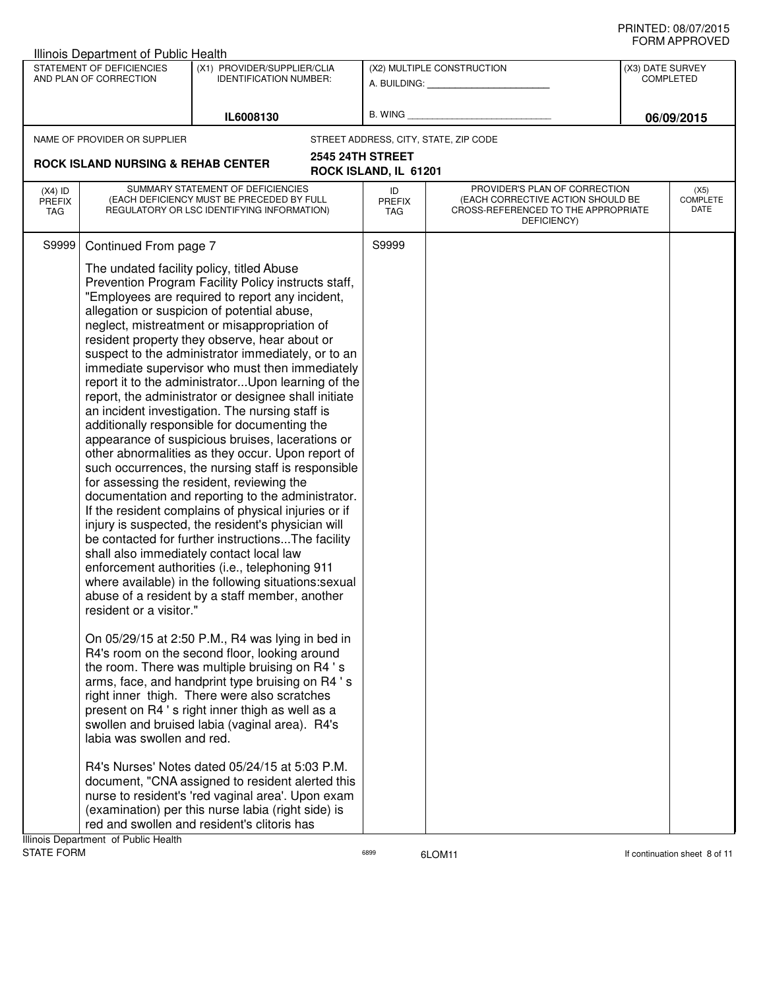|                                   | Illinois Department of Public Health                |                                                                                                                                                                                                                                                                                                                                                                                                                                                                                                                                                                                                                                         |                            |                                                                                                                          |                  |                               |
|-----------------------------------|-----------------------------------------------------|-----------------------------------------------------------------------------------------------------------------------------------------------------------------------------------------------------------------------------------------------------------------------------------------------------------------------------------------------------------------------------------------------------------------------------------------------------------------------------------------------------------------------------------------------------------------------------------------------------------------------------------------|----------------------------|--------------------------------------------------------------------------------------------------------------------------|------------------|-------------------------------|
|                                   | STATEMENT OF DEFICIENCIES<br>AND PLAN OF CORRECTION | (X1) PROVIDER/SUPPLIER/CLIA<br><b>IDENTIFICATION NUMBER:</b>                                                                                                                                                                                                                                                                                                                                                                                                                                                                                                                                                                            |                            | (X2) MULTIPLE CONSTRUCTION<br>A. BUILDING: A. BUILDING:                                                                  | (X3) DATE SURVEY | <b>COMPLETED</b>              |
|                                   |                                                     | IL6008130                                                                                                                                                                                                                                                                                                                                                                                                                                                                                                                                                                                                                               | B. WING                    |                                                                                                                          |                  | 06/09/2015                    |
|                                   | NAME OF PROVIDER OR SUPPLIER                        |                                                                                                                                                                                                                                                                                                                                                                                                                                                                                                                                                                                                                                         |                            | STREET ADDRESS, CITY, STATE, ZIP CODE                                                                                    |                  |                               |
|                                   | <b>ROCK ISLAND NURSING &amp; REHAB CENTER</b>       |                                                                                                                                                                                                                                                                                                                                                                                                                                                                                                                                                                                                                                         | <b>2545 24TH STREET</b>    |                                                                                                                          |                  |                               |
|                                   |                                                     |                                                                                                                                                                                                                                                                                                                                                                                                                                                                                                                                                                                                                                         | ROCK ISLAND, IL 61201      |                                                                                                                          |                  |                               |
| $(X4)$ ID<br><b>PREFIX</b><br>TAG |                                                     | SUMMARY STATEMENT OF DEFICIENCIES<br>(EACH DEFICIENCY MUST BE PRECEDED BY FULL<br>REGULATORY OR LSC IDENTIFYING INFORMATION)                                                                                                                                                                                                                                                                                                                                                                                                                                                                                                            | ID<br><b>PREFIX</b><br>TAG | PROVIDER'S PLAN OF CORRECTION<br>(EACH CORRECTIVE ACTION SHOULD BE<br>CROSS-REFERENCED TO THE APPROPRIATE<br>DEFICIENCY) |                  | (X5)<br>COMPLETE<br>DATE      |
|                                   |                                                     | The undated facility policy, titled Abuse<br>Prevention Program Facility Policy instructs staff,<br>"Employees are required to report any incident,<br>allegation or suspicion of potential abuse,<br>neglect, mistreatment or misappropriation of<br>resident property they observe, hear about or<br>suspect to the administrator immediately, or to an<br>immediate supervisor who must then immediately<br>report it to the administrator Upon learning of the<br>report, the administrator or designee shall initiate<br>an incident investigation. The nursing staff is<br>additionally responsible for documenting the           |                            |                                                                                                                          |                  |                               |
|                                   | resident or a visitor."                             | appearance of suspicious bruises, lacerations or<br>other abnormalities as they occur. Upon report of<br>such occurrences, the nursing staff is responsible<br>for assessing the resident, reviewing the<br>documentation and reporting to the administrator.<br>If the resident complains of physical injuries or if<br>injury is suspected, the resident's physician will<br>be contacted for further instructionsThe facility<br>shall also immediately contact local law<br>enforcement authorities (i.e., telephoning 911<br>where available) in the following situations:sexual<br>abuse of a resident by a staff member, another |                            |                                                                                                                          |                  |                               |
|                                   | labia was swollen and red.                          | On 05/29/15 at 2:50 P.M., R4 was lying in bed in<br>R4's room on the second floor, looking around<br>the room. There was multiple bruising on R4 's<br>arms, face, and handprint type bruising on R4 's<br>right inner thigh. There were also scratches<br>present on R4 's right inner thigh as well as a<br>swollen and bruised labia (vaginal area). R4's                                                                                                                                                                                                                                                                            |                            |                                                                                                                          |                  |                               |
| <b>STATE FORM</b>                 | Illinois Department of Public Health                | R4's Nurses' Notes dated 05/24/15 at 5:03 P.M.<br>document, "CNA assigned to resident alerted this<br>nurse to resident's 'red vaginal area'. Upon exam<br>(examination) per this nurse labia (right side) is<br>red and swollen and resident's clitoris has                                                                                                                                                                                                                                                                                                                                                                            | 6899                       | 6LOM11                                                                                                                   |                  | If continuation sheet 8 of 11 |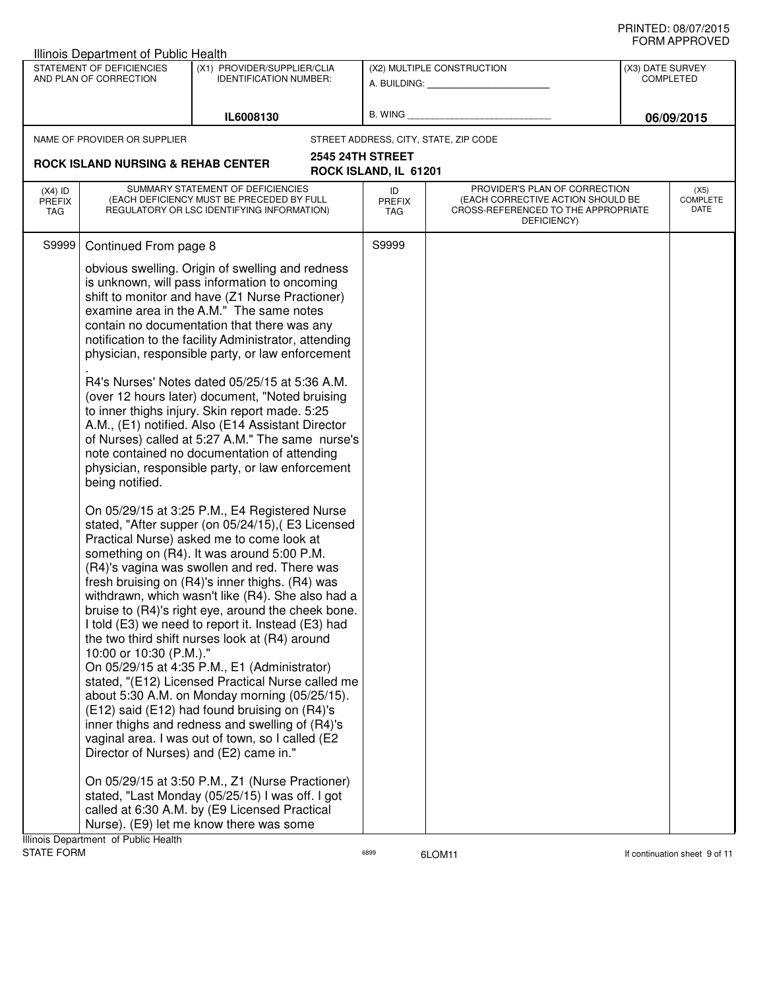|                                   | Illinois Department of Public Health                |                                                                                                                                                                                                                                                                                                                                                                                                                                                                                                                                                                                                                                                                                                                                                                                                                                                                                                                                                                                                                                                                                                                                                                                                                                                                                                                                                                                                                                                                                                                                                                                                                                                                    |                            |                                                                                                                          |                  |                                 |
|-----------------------------------|-----------------------------------------------------|--------------------------------------------------------------------------------------------------------------------------------------------------------------------------------------------------------------------------------------------------------------------------------------------------------------------------------------------------------------------------------------------------------------------------------------------------------------------------------------------------------------------------------------------------------------------------------------------------------------------------------------------------------------------------------------------------------------------------------------------------------------------------------------------------------------------------------------------------------------------------------------------------------------------------------------------------------------------------------------------------------------------------------------------------------------------------------------------------------------------------------------------------------------------------------------------------------------------------------------------------------------------------------------------------------------------------------------------------------------------------------------------------------------------------------------------------------------------------------------------------------------------------------------------------------------------------------------------------------------------------------------------------------------------|----------------------------|--------------------------------------------------------------------------------------------------------------------------|------------------|---------------------------------|
|                                   | STATEMENT OF DEFICIENCIES<br>AND PLAN OF CORRECTION | (X1) PROVIDER/SUPPLIER/CLIA<br><b>IDENTIFICATION NUMBER:</b>                                                                                                                                                                                                                                                                                                                                                                                                                                                                                                                                                                                                                                                                                                                                                                                                                                                                                                                                                                                                                                                                                                                                                                                                                                                                                                                                                                                                                                                                                                                                                                                                       |                            | (X2) MULTIPLE CONSTRUCTION                                                                                               | (X3) DATE SURVEY | <b>COMPLETED</b>                |
|                                   |                                                     |                                                                                                                                                                                                                                                                                                                                                                                                                                                                                                                                                                                                                                                                                                                                                                                                                                                                                                                                                                                                                                                                                                                                                                                                                                                                                                                                                                                                                                                                                                                                                                                                                                                                    |                            | A. BUILDING: A. BUILDING:                                                                                                |                  |                                 |
|                                   |                                                     | IL6008130                                                                                                                                                                                                                                                                                                                                                                                                                                                                                                                                                                                                                                                                                                                                                                                                                                                                                                                                                                                                                                                                                                                                                                                                                                                                                                                                                                                                                                                                                                                                                                                                                                                          | B. WING                    |                                                                                                                          |                  | 06/09/2015                      |
|                                   | NAME OF PROVIDER OR SUPPLIER                        |                                                                                                                                                                                                                                                                                                                                                                                                                                                                                                                                                                                                                                                                                                                                                                                                                                                                                                                                                                                                                                                                                                                                                                                                                                                                                                                                                                                                                                                                                                                                                                                                                                                                    |                            | STREET ADDRESS, CITY, STATE, ZIP CODE                                                                                    |                  |                                 |
|                                   |                                                     |                                                                                                                                                                                                                                                                                                                                                                                                                                                                                                                                                                                                                                                                                                                                                                                                                                                                                                                                                                                                                                                                                                                                                                                                                                                                                                                                                                                                                                                                                                                                                                                                                                                                    | <b>2545 24TH STREET</b>    |                                                                                                                          |                  |                                 |
|                                   | <b>ROCK ISLAND NURSING &amp; REHAB CENTER</b>       |                                                                                                                                                                                                                                                                                                                                                                                                                                                                                                                                                                                                                                                                                                                                                                                                                                                                                                                                                                                                                                                                                                                                                                                                                                                                                                                                                                                                                                                                                                                                                                                                                                                                    | ROCK ISLAND, IL 61201      |                                                                                                                          |                  |                                 |
| $(X4)$ ID<br><b>PREFIX</b><br>TAG |                                                     | SUMMARY STATEMENT OF DEFICIENCIES<br>(EACH DEFICIENCY MUST BE PRECEDED BY FULL<br>REGULATORY OR LSC IDENTIFYING INFORMATION)                                                                                                                                                                                                                                                                                                                                                                                                                                                                                                                                                                                                                                                                                                                                                                                                                                                                                                                                                                                                                                                                                                                                                                                                                                                                                                                                                                                                                                                                                                                                       | ID<br><b>PREFIX</b><br>TAG | PROVIDER'S PLAN OF CORRECTION<br>(EACH CORRECTIVE ACTION SHOULD BE<br>CROSS-REFERENCED TO THE APPROPRIATE<br>DEFICIENCY) |                  | (X5)<br><b>COMPLETE</b><br>DATE |
| S9999                             | Continued From page 8                               |                                                                                                                                                                                                                                                                                                                                                                                                                                                                                                                                                                                                                                                                                                                                                                                                                                                                                                                                                                                                                                                                                                                                                                                                                                                                                                                                                                                                                                                                                                                                                                                                                                                                    | S9999                      |                                                                                                                          |                  |                                 |
|                                   | being notified.<br>10:00 or 10:30 (P.M.)."          | obvious swelling. Origin of swelling and redness<br>is unknown, will pass information to oncoming<br>shift to monitor and have (Z1 Nurse Practioner)<br>examine area in the A.M." The same notes<br>contain no documentation that there was any<br>notification to the facility Administrator, attending<br>physician, responsible party, or law enforcement<br>R4's Nurses' Notes dated 05/25/15 at 5:36 A.M.<br>(over 12 hours later) document, "Noted bruising<br>to inner thighs injury. Skin report made. 5:25<br>A.M., (E1) notified. Also (E14 Assistant Director<br>of Nurses) called at 5:27 A.M." The same nurse's<br>note contained no documentation of attending<br>physician, responsible party, or law enforcement<br>On 05/29/15 at 3:25 P.M., E4 Registered Nurse<br>stated, "After supper (on 05/24/15), (E3 Licensed<br>Practical Nurse) asked me to come look at<br>something on (R4). It was around 5:00 P.M.<br>(R4)'s vagina was swollen and red. There was<br>fresh bruising on (R4)'s inner thighs. (R4) was<br>withdrawn, which wasn't like (R4). She also had a<br>bruise to (R4)'s right eye, around the cheek bone.<br>I told (E3) we need to report it. Instead (E3) had<br>the two third shift nurses look at (R4) around<br>On 05/29/15 at 4:35 P.M., E1 (Administrator)<br>stated, "(E12) Licensed Practical Nurse called me<br>about 5:30 A.M. on Monday morning (05/25/15).<br>(E12) said (E12) had found bruising on (R4)'s<br>inner thighs and redness and swelling of (R4)'s<br>vaginal area. I was out of town, so I called (E2<br>Director of Nurses) and (E2) came in."<br>On 05/29/15 at 3:50 P.M., Z1 (Nurse Practioner) |                            |                                                                                                                          |                  |                                 |
|                                   |                                                     | stated, "Last Monday (05/25/15) I was off. I got<br>called at 6:30 A.M. by (E9 Licensed Practical                                                                                                                                                                                                                                                                                                                                                                                                                                                                                                                                                                                                                                                                                                                                                                                                                                                                                                                                                                                                                                                                                                                                                                                                                                                                                                                                                                                                                                                                                                                                                                  |                            |                                                                                                                          |                  |                                 |
|                                   |                                                     | Nurse). (E9) let me know there was some                                                                                                                                                                                                                                                                                                                                                                                                                                                                                                                                                                                                                                                                                                                                                                                                                                                                                                                                                                                                                                                                                                                                                                                                                                                                                                                                                                                                                                                                                                                                                                                                                            |                            |                                                                                                                          |                  |                                 |
| <b>STATE FORM</b>                 | Illinois Department of Public Health                |                                                                                                                                                                                                                                                                                                                                                                                                                                                                                                                                                                                                                                                                                                                                                                                                                                                                                                                                                                                                                                                                                                                                                                                                                                                                                                                                                                                                                                                                                                                                                                                                                                                                    | 6899                       | 6LOM11                                                                                                                   |                  | If continuation sheet 9 of 11   |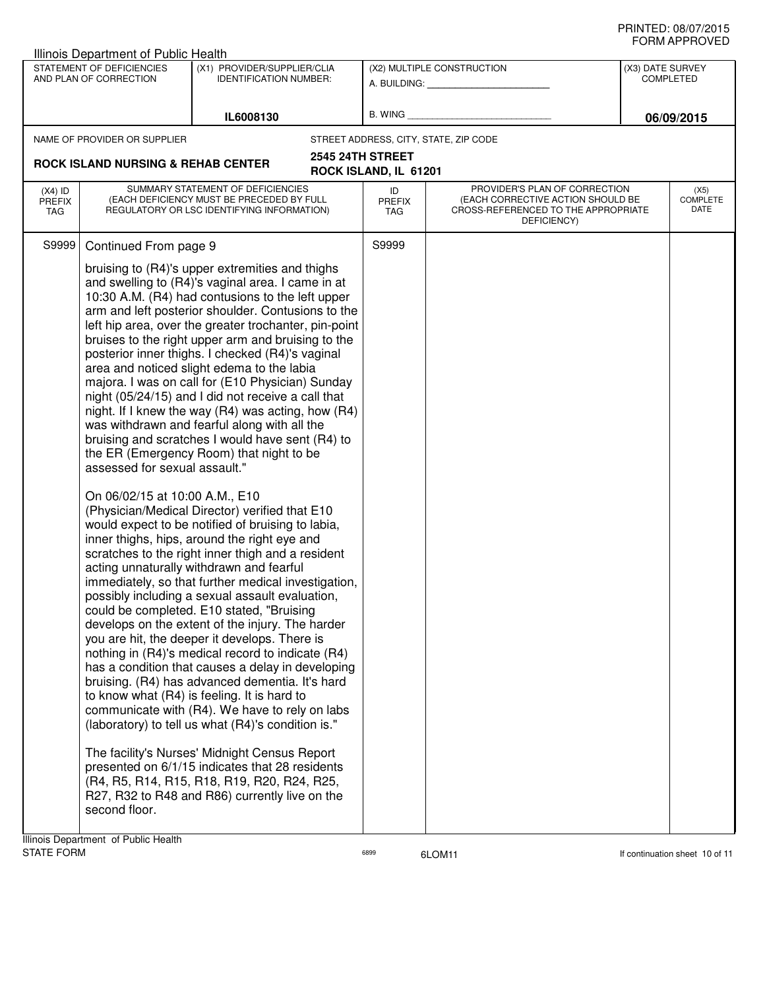|                                   | Illinois Department of Public Health                                                     |                                                                                                                                                                                                                                                                                                                                                                                                                                                                                                                                                                                                                                                                                                                                                                                                                                                                                                        |                                                  |                                                                                                                          |                  |                                 |
|-----------------------------------|------------------------------------------------------------------------------------------|--------------------------------------------------------------------------------------------------------------------------------------------------------------------------------------------------------------------------------------------------------------------------------------------------------------------------------------------------------------------------------------------------------------------------------------------------------------------------------------------------------------------------------------------------------------------------------------------------------------------------------------------------------------------------------------------------------------------------------------------------------------------------------------------------------------------------------------------------------------------------------------------------------|--------------------------------------------------|--------------------------------------------------------------------------------------------------------------------------|------------------|---------------------------------|
|                                   | STATEMENT OF DEFICIENCIES<br>AND PLAN OF CORRECTION                                      | (X1) PROVIDER/SUPPLIER/CLIA<br><b>IDENTIFICATION NUMBER:</b>                                                                                                                                                                                                                                                                                                                                                                                                                                                                                                                                                                                                                                                                                                                                                                                                                                           |                                                  | (X2) MULTIPLE CONSTRUCTION<br>A. BUILDING: A. BUILDING:                                                                  | (X3) DATE SURVEY | <b>COMPLETED</b>                |
|                                   |                                                                                          | IL6008130                                                                                                                                                                                                                                                                                                                                                                                                                                                                                                                                                                                                                                                                                                                                                                                                                                                                                              | B. WING                                          |                                                                                                                          |                  | 06/09/2015                      |
|                                   | NAME OF PROVIDER OR SUPPLIER                                                             |                                                                                                                                                                                                                                                                                                                                                                                                                                                                                                                                                                                                                                                                                                                                                                                                                                                                                                        | STREET ADDRESS, CITY, STATE, ZIP CODE            |                                                                                                                          |                  |                                 |
|                                   | <b>ROCK ISLAND NURSING &amp; REHAB CENTER</b>                                            |                                                                                                                                                                                                                                                                                                                                                                                                                                                                                                                                                                                                                                                                                                                                                                                                                                                                                                        | <b>2545 24TH STREET</b><br>ROCK ISLAND, IL 61201 |                                                                                                                          |                  |                                 |
| $(X4)$ ID<br><b>PREFIX</b><br>TAG |                                                                                          | SUMMARY STATEMENT OF DEFICIENCIES<br>(EACH DEFICIENCY MUST BE PRECEDED BY FULL<br>REGULATORY OR LSC IDENTIFYING INFORMATION)                                                                                                                                                                                                                                                                                                                                                                                                                                                                                                                                                                                                                                                                                                                                                                           | ID<br><b>PREFIX</b><br>TAG                       | PROVIDER'S PLAN OF CORRECTION<br>(EACH CORRECTIVE ACTION SHOULD BE<br>CROSS-REFERENCED TO THE APPROPRIATE<br>DEFICIENCY) |                  | (X5)<br><b>COMPLETE</b><br>DATE |
| S9999                             | Continued From page 9<br>assessed for sexual assault."<br>On 06/02/15 at 10:00 A.M., E10 | bruising to (R4)'s upper extremities and thighs<br>and swelling to (R4)'s vaginal area. I came in at<br>10:30 A.M. (R4) had contusions to the left upper<br>arm and left posterior shoulder. Contusions to the<br>left hip area, over the greater trochanter, pin-point<br>bruises to the right upper arm and bruising to the<br>posterior inner thighs. I checked (R4)'s vaginal<br>area and noticed slight edema to the labia<br>majora. I was on call for (E10 Physician) Sunday<br>night (05/24/15) and I did not receive a call that<br>night. If I knew the way (R4) was acting, how (R4)<br>was withdrawn and fearful along with all the<br>bruising and scratches I would have sent (R4) to<br>the ER (Emergency Room) that night to be<br>(Physician/Medical Director) verified that E10<br>would expect to be notified of bruising to labia,<br>inner thighs, hips, around the right eye and | S9999                                            |                                                                                                                          |                  |                                 |
|                                   | second floor.<br>Illinois Department of Public Health                                    | scratches to the right inner thigh and a resident<br>acting unnaturally withdrawn and fearful<br>immediately, so that further medical investigation,<br>possibly including a sexual assault evaluation,<br>could be completed. E10 stated, "Bruising<br>develops on the extent of the injury. The harder<br>you are hit, the deeper it develops. There is<br>nothing in (R4)'s medical record to indicate (R4)<br>has a condition that causes a delay in developing<br>bruising. (R4) has advanced dementia. It's hard<br>to know what (R4) is feeling. It is hard to<br>communicate with (R4). We have to rely on labs<br>(laboratory) to tell us what (R4)'s condition is."<br>The facility's Nurses' Midnight Census Report<br>presented on 6/1/15 indicates that 28 residents<br>(R4, R5, R14, R15, R18, R19, R20, R24, R25,<br>R27, R32 to R48 and R86) currently live on the                     |                                                  |                                                                                                                          |                  |                                 |